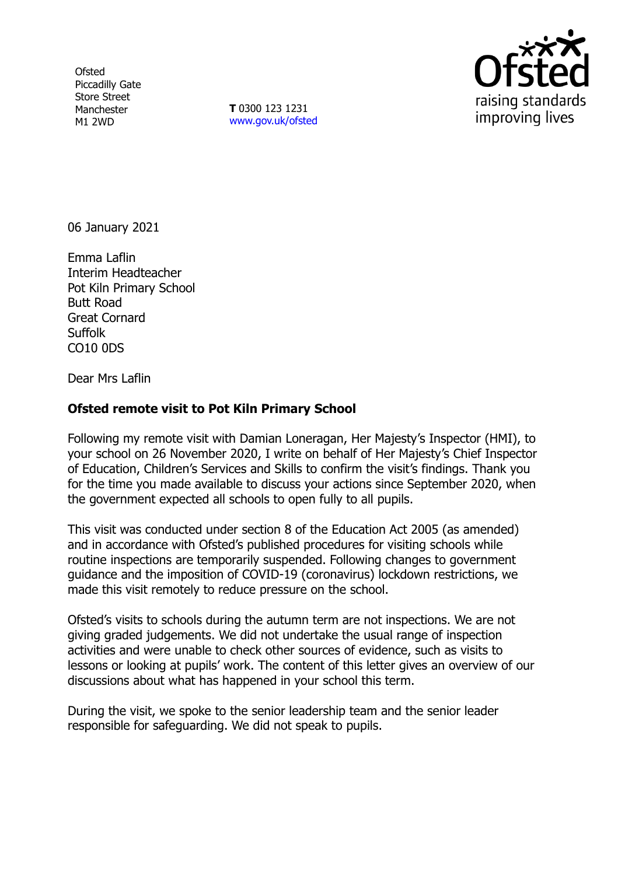**Ofsted** Piccadilly Gate Store Street Manchester M1 2WD

**T** 0300 123 1231 [www.gov.uk/ofsted](http://www.gov.uk/ofsted)



06 January 2021

Emma Laflin Interim Headteacher Pot Kiln Primary School Butt Road Great Cornard Suffolk CO10 0DS

Dear Mrs Laflin

## **Ofsted remote visit to Pot Kiln Primary School**

Following my remote visit with Damian Loneragan, Her Majesty's Inspector (HMI), to your school on 26 November 2020, I write on behalf of Her Majesty's Chief Inspector of Education, Children's Services and Skills to confirm the visit's findings. Thank you for the time you made available to discuss your actions since September 2020, when the government expected all schools to open fully to all pupils.

This visit was conducted under section 8 of the Education Act 2005 (as amended) and in accordance with Ofsted's published procedures for visiting schools while routine inspections are temporarily suspended. Following changes to government guidance and the imposition of COVID-19 (coronavirus) lockdown restrictions, we made this visit remotely to reduce pressure on the school.

Ofsted's visits to schools during the autumn term are not inspections. We are not giving graded judgements. We did not undertake the usual range of inspection activities and were unable to check other sources of evidence, such as visits to lessons or looking at pupils' work. The content of this letter gives an overview of our discussions about what has happened in your school this term.

During the visit, we spoke to the senior leadership team and the senior leader responsible for safeguarding. We did not speak to pupils.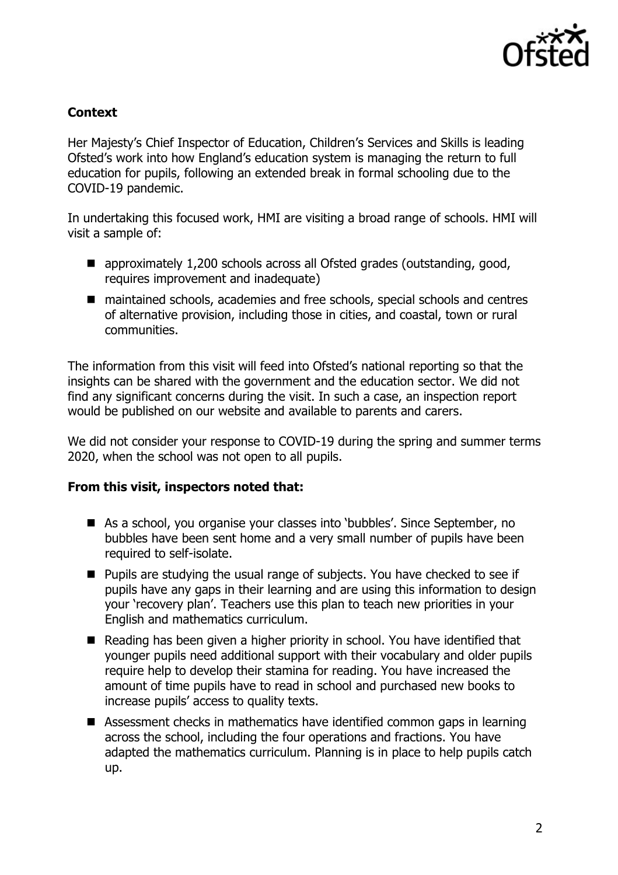

## **Context**

Her Majesty's Chief Inspector of Education, Children's Services and Skills is leading Ofsted's work into how England's education system is managing the return to full education for pupils, following an extended break in formal schooling due to the COVID-19 pandemic.

In undertaking this focused work, HMI are visiting a broad range of schools. HMI will visit a sample of:

- approximately 1,200 schools across all Ofsted grades (outstanding, good, requires improvement and inadequate)
- maintained schools, academies and free schools, special schools and centres of alternative provision, including those in cities, and coastal, town or rural communities.

The information from this visit will feed into Ofsted's national reporting so that the insights can be shared with the government and the education sector. We did not find any significant concerns during the visit. In such a case, an inspection report would be published on our website and available to parents and carers.

We did not consider your response to COVID-19 during the spring and summer terms 2020, when the school was not open to all pupils.

## **From this visit, inspectors noted that:**

- As a school, you organise your classes into 'bubbles'. Since September, no bubbles have been sent home and a very small number of pupils have been required to self-isolate.
- **Pupils are studying the usual range of subjects. You have checked to see if** pupils have any gaps in their learning and are using this information to design your 'recovery plan'. Teachers use this plan to teach new priorities in your English and mathematics curriculum.
- Reading has been given a higher priority in school. You have identified that younger pupils need additional support with their vocabulary and older pupils require help to develop their stamina for reading. You have increased the amount of time pupils have to read in school and purchased new books to increase pupils' access to quality texts.
- Assessment checks in mathematics have identified common gaps in learning across the school, including the four operations and fractions. You have adapted the mathematics curriculum. Planning is in place to help pupils catch up.